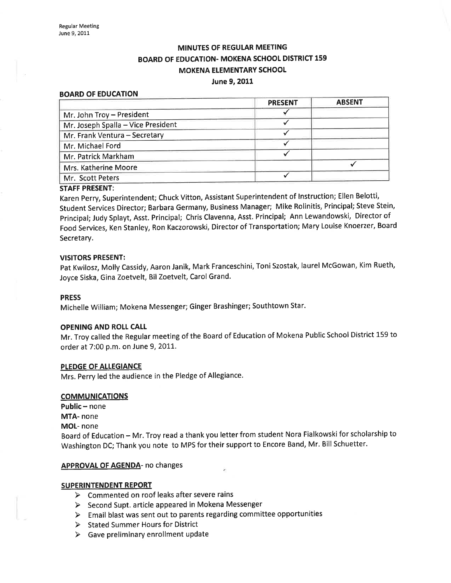## MINUTES OF REGULAR MEETING BOARD OF EDUCATION. MOKENA SCHOOL DISTRICT 159 MOKENA ELEMENTARY SCHOOL June 9,2011

## BOARD OF EDUCATION

|                                    | <b>PRESENT</b> | <b>ABSENT</b> |
|------------------------------------|----------------|---------------|
| Mr. John Troy - President          |                |               |
| Mr. Joseph Spalla - Vice President |                |               |
| Mr. Frank Ventura - Secretary      |                |               |
| Mr. Michael Ford                   |                |               |
| Mr. Patrick Markham                |                |               |
| Mrs. Katherine Moore               |                |               |
| Mr. Scott Peters                   |                |               |

## STAFF PRESENT:

Karen perry, Superintendent; Chuck Vitton, Assistant Superintendent of lnstruction; Ellen Belotti, Student Services Director; Barbara Germany, Business Manager; Mike Rolinitis, Principal; Steve Stein, principal; Judy Splayt, Asst. Principal; Chris Clavenna, Asst. Principal; Ann Lewandowski, Director of Food Services, Ken Stanley, Ron Kaczorowski, Directorof Transportation; Mary Louise Knoerzer, Board Secretary.

## VISITORS PRESENT:

pat Kwilosz, Molly Cassidy, Aaron Janik, Mark Franceschini, Toni Szostak, laurel McGowan, Kim Rueth, Joyce Siska, Gina Zoetvelt, Bil Zoetvelt, Carol Grand.

## PRESS

Michelle William; Mokena Messenger; Ginger Brashinger; Southtown Star.

## OPENING AND ROLL CALL

Mr. Troy called the Regular meeting of the Board of Education of Mokena Public School District 159 to order at 7:00 p.m. on June 9, 2011.

## PLEDGE OF ALLEGIANCE

Mrs. Perry led the audience in the Pledge of Allegiance.

## **COMMUNICATIONS**

 $Public - none$ MTA- none MOL- none Board of Education - Mr. Troy read a thank you letter from student Nora Fialkowski for scholarship to Washington DC; Thank you note to MPS for their support to Encore Band, Mr. Bill Schuetter.

## APPROVAL OF AGENDA- no changes

## SUPERINTENDENT REPORT

- $\triangleright$  Commented on roof leaks after severe rains
- > Second Supt. article appeared in Mokena Messenger
- $\triangleright$  Email blast was sent out to parents regarding committee opportunities
- $\triangleright$  Stated Summer Hours for District
- $\triangleright$  Gave preliminary enrollment update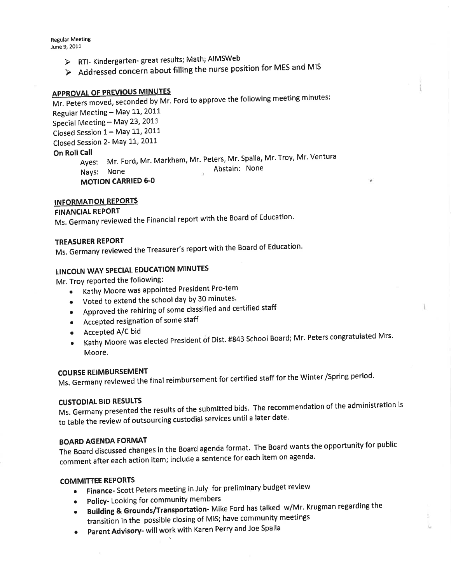**Regular Meeting** June 9, 2011

- > RTI- Kindergarten- great results; Math; AIMSWeb
- Addressed concern about filling the nurse position for MES and MIS

## APPROVAL OF PREVIOUS MINUTES

Mr. Reters moved, seconded by Mr. Ford to approve the following meeting minutes Regular Meeting - May 11, 2011 Special Meeting - May 23, 2011 Closed Session 1 - May 11, 2011 Closed Session 2- May 11, 2011 On Roll Call یت.<br>Ayes: Mr. Ford, Mr. Markham, Mr. Peters, Mr. Spalla, Mr. Troy, Mr. Ventura Abstain: None Nays: None **MOTION CARRIED 6-0** 

## INFORMATION REPORTS

## FINANCIAL REPORT

Ms. Germany reviewed the Financial report with the Board of Education.

## TREASURER REPORT

Ms. Germany reviewed the Treasurer's report with the Board of Education.

## LINCOLN WAY SPECIAL EDUCATION MINUTES

Mr. Troy reported the following:

- o Kathy Moore was appointed President Pro-tem
- Voted to extend the school day by 30 minutes.
- . APproved the rehiring of some classified anl certified staff
- . Accepted resignation of some staff
- $\bullet$  Accepted A/C bid
- Kathy Moore was elected President of Dist. #843 School Board; Mr. Peters congratulated Mrs. Moore.

٠

COURSE REIMBURSEMENT Ms. Germany reviewed the final reimbursement for certified staff for the winter /spring period'

CUSTODIAL BID RESULTS<br>Ms. Germany presented the results of the submitted bids. The recommendation of the administration is to table the review of outsourcing custodial services until a later date.

## BOARD AGENDA FORMAT

The Board discussed changes in the Board agenda format. The Board wants the opportunity for public comment after each action item; include a sentence for each item on agenda'

## COMMITTEE REPORTS

- Finance- Scott Peters meeting in July for preliminary budget review
- Policy- Looking for community members
- Building & Grounds/Transportation- Mike Ford has talked w/Mr. Krugman regarding the transition in the possible closing of MIS; have community meetings
- Parent Advisory- will work with Karen Perry and Joe Spalla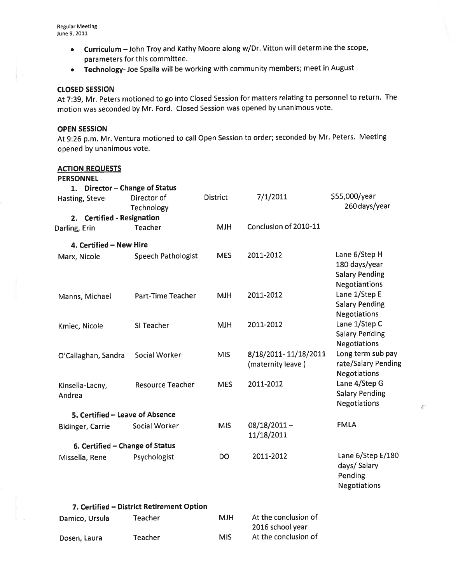- Curriculum John Troy and Kathy Moore along w/Dr. Vitton will determine the scope, parameters for this committee.
- **Technology-** Joe Spalla will be working with community members; meet in August

## closED sEssloN

At 7:39, Mr, Peters motioned to go into Closed Session for matters relating to personnel to return. The motion was seconded by Mr. Ford. Closed Session was opened by unanimous vote.

## OPEN SESSION

At 9:26 p.m. Mr. Ventura motioned to call Open Session to order; seconded by Mr. Peters. Meeting opened by unanimous vote.

## ACTION REQUESTS

## PERSONNEL

| 1. Director - Change of Status<br>Hasting, Steve | Director of<br>Technology | <b>District</b> | 7/1/2011                                  | \$55,000/year<br>260 days/year                                                  |
|--------------------------------------------------|---------------------------|-----------------|-------------------------------------------|---------------------------------------------------------------------------------|
| 2. Certified - Resignation<br>Darling, Erin      | Teacher                   | <b>MJH</b>      | Conclusion of 2010-11                     |                                                                                 |
| 4. Certified - New Hire                          |                           |                 |                                           |                                                                                 |
| Marx, Nicole                                     | <b>Speech Pathologist</b> | <b>MES</b>      | 2011-2012                                 | Lane 6/Step H<br>180 days/year<br><b>Salary Pending</b><br><b>Negotiantions</b> |
| Manns, Michael                                   | Part-Time Teacher         | <b>MJH</b>      | 2011-2012                                 | Lane 1/Step E<br><b>Salary Pending</b><br><b>Negotiations</b>                   |
| Kmiec, Nicole                                    | SI Teacher                | <b>MJH</b>      | 2011-2012                                 | Lane 1/Step C<br><b>Salary Pending</b><br>Negotiations                          |
| O'Callaghan, Sandra                              | Social Worker             | MIS             | 8/18/2011-11/18/2011<br>(maternity leave) | Long term sub pay<br>rate/Salary Pending<br><b>Negotiations</b>                 |
| Kinsella-Lacny,<br>Andrea                        | <b>Resource Teacher</b>   | <b>MES</b>      | 2011-2012                                 | Lane 4/Step G<br><b>Salary Pending</b><br>Negotiations                          |
| 5. Certified – Leave of Absence                  |                           |                 |                                           |                                                                                 |
| <b>Bidinger, Carrie</b>                          | Social Worker             | <b>MIS</b>      | $08/18/2011 -$<br>11/18/2011              | <b>FMLA</b>                                                                     |
| 6. Certified - Change of Status                  |                           |                 |                                           |                                                                                 |
| Missella, Rene                                   | Psychologist              | DO              | 2011-2012                                 | Lane 6/Step E/180<br>days/Salary<br>Pending<br><b>Negotiations</b>              |

## 7. Certified - District Retirement Option

| Damico, Ursula | Teacher | <b>MJH</b> | At the conclusion of |
|----------------|---------|------------|----------------------|
|                |         |            | 2016 school year     |
| Dosen, Laura   | Teacher | MIS        | At the conclusion of |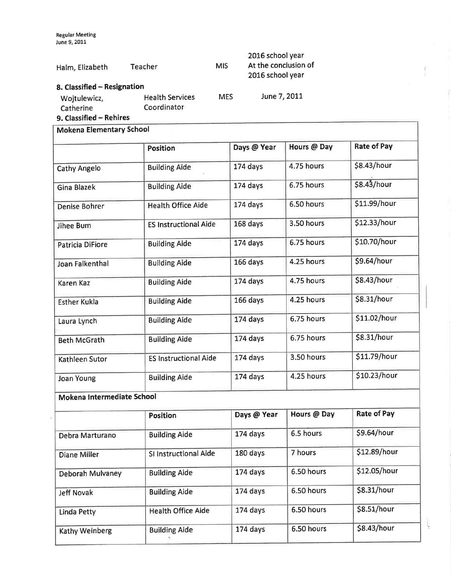Regular Meeting June 9,2011

| Halm, Elizabeth                                                                     | <b>Teacher</b>                        | <b>MIS</b> | 2016 school year<br>At the conclusion of<br>2016 school year |
|-------------------------------------------------------------------------------------|---------------------------------------|------------|--------------------------------------------------------------|
| 8. Classified - Resignation<br>Wojtulewicz,<br>Catherine<br>9. Classified - Rehires | <b>Health Services</b><br>Coordinator | <b>MES</b> | June 7, 2011                                                 |

## Mokena Elementary School

|                            | <b>Position</b>              | Days @ Year | Hours @ Day | <b>Rate of Pay</b> |  |  |
|----------------------------|------------------------------|-------------|-------------|--------------------|--|--|
| <b>Cathy Angelo</b>        | <b>Building Aide</b>         | 174 days    | 4.75 hours  | \$8.43/hour        |  |  |
| <b>Gina Blazek</b>         | <b>Building Aide</b>         | 174 days    | 6.75 hours  | \$8.43/hour        |  |  |
| Denise Bohrer              | <b>Health Office Aide</b>    | 174 days    | 6.50 hours  | \$11.99/hour       |  |  |
| Jihee Bum                  | <b>ES Instructional Aide</b> | 168 days    | 3.50 hours  | \$12.33/hour       |  |  |
| Patricia DiFiore           | <b>Building Aide</b>         | 174 days    | 6.75 hours  | \$10.70/hour       |  |  |
| Joan Falkenthal            | <b>Building Aide</b>         | 166 days    | 4.25 hours  | \$9.64/hour        |  |  |
| <b>Karen Kaz</b>           | <b>Building Aide</b>         | 174 days    | 4.75 hours  | \$8.43/hour        |  |  |
| <b>Esther Kukla</b>        | <b>Building Aide</b>         | 166 days    | 4.25 hours  | \$8.31/hour        |  |  |
| Laura Lynch                | <b>Building Aide</b>         | 174 days    | 6.75 hours  | \$11.02/hour       |  |  |
| <b>Beth McGrath</b>        | <b>Building Aide</b>         | 174 days    | 6.75 hours  | \$8.31/hour        |  |  |
| <b>Kathleen Sutor</b>      | <b>ES Instructional Aide</b> | 174 days    | 3.50 hours  | \$11.79/hour       |  |  |
| <b>Joan Young</b>          | <b>Building Aide</b>         | 174 days    | 4.25 hours  | \$10.23/hour       |  |  |
| Mokena Intermediate School |                              |             |             |                    |  |  |
|                            | <b>Position</b>              | Days @ Year | Hours @ Day | <b>Rate of Pay</b> |  |  |
| Debra Marturano            | <b>Building Aide</b>         | 174 days    | 6.5 hours   | \$9.64/hour        |  |  |
| <b>Diane Miller</b>        | SI Instructional Aide        | 180 days    | 7 hours     | \$12.89/hour       |  |  |
| Deborah Mulvaney           | <b>Building Aide</b>         | 174 days    | 6.50 hours  | \$12.05/hour       |  |  |
| <b>Jeff Novak</b>          | <b>Building Aide</b>         | 174 days    | 6.50 hours  | \$8.31/hour        |  |  |

ĺ

ţ

Linda Petty Health Office Aide 174 days 6.50 hours \$8.51/hour

Kathy Weinberg Building Aide 174 days 6.50 hours \$8.43/hour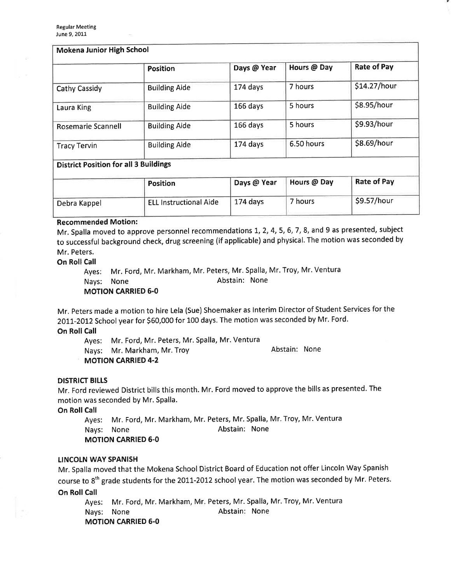| Mokena Junior High School                    |                      |             |             |                    |  |
|----------------------------------------------|----------------------|-------------|-------------|--------------------|--|
|                                              | <b>Position</b>      | Days @ Year | Hours @ Day | <b>Rate of Pay</b> |  |
| Cathy Cassidy                                | <b>Building Aide</b> | 174 days    | 7 hours     | \$14.27/hour       |  |
| Laura King                                   | <b>Building Aide</b> | $166$ days  | 5 hours     | \$8.95/hour        |  |
| <b>Rosemarie Scannell</b>                    | <b>Building Aide</b> | 166 days    | 5 hours     | \$9.93/hour        |  |
| <b>Tracy Tervin</b>                          | <b>Building Aide</b> | 174 days    | 6.50 hours  | \$8.69/hour        |  |
| <b>District Position for all 3 Buildings</b> |                      |             |             |                    |  |

|              | <b>Position</b>                | Days @ Year | Hours @ Day | <b>Rate of Pay</b> |
|--------------|--------------------------------|-------------|-------------|--------------------|
| Debra Kappel | <b>"ELL Instructional Aide</b> | 174 days    | 7 hours     | \$9.57/hour        |

## Recommended Motion:

Mr. Spalla moved to approve personnel recommendations 1, 2, 4, 5, 6, 7, 8, and 9 as presented, subject to successful background check, drug screening (if applicable) and physical. The motion was seconded by Mr. Peters.

## **On Roll Call**

Ayes: Mr. Ford, Mr. Markham, Mr. Peters, Mr. Spalla, Mr. Troy, Mr. Ventura Nays: None **Abstain:** None MOTION CARRIED 6.0

Mr, peters made a motion to hire Lela (Sue) Shoemaker as lnterim Director of Student Services for the 2011-2012 School year for \$60,000 for 100 days. The motion was seconded by Mr. Ford.

## **On Roll Call**

Ayes: Mr. Ford, Mr. Peters, Mr. Spalla, Mr. Ventura

Nays: Mr. Markham, Mr. Troy Manuel Abstain: None

MOTION CARRIED 4.2

## DISTRICT BILLS

Mr. Ford reviewed District bills this month. Mr. Ford moved to approve the bills as presented. The motion was seconded by Mr. Spalla.

On Roll Call

Ayes: Mr. Ford, Mr. Markham, Mr. Peters, Mr. Spalla, Mr. Troy, Mr. Ventura Nays: None **Abstain:** None MOTION CARRIED 6-0

## LINCOLN WAY SPANISH

Mr. Spalla moved that the Mokena School District Board of Education not offer Lincoln Way Spanish course to 8<sup>th</sup> grade students for the 2011-2012 school year. The motion was seconded by Mr. Peters. **On Roll Call** 

Ayes: Mr. Ford, Mr. Markham, Mr, Peters, Mr. Spalla, Mr. Troy, Mr. Ventura Nays: None **Abstain:** None **MOTION CARRIED 6-0**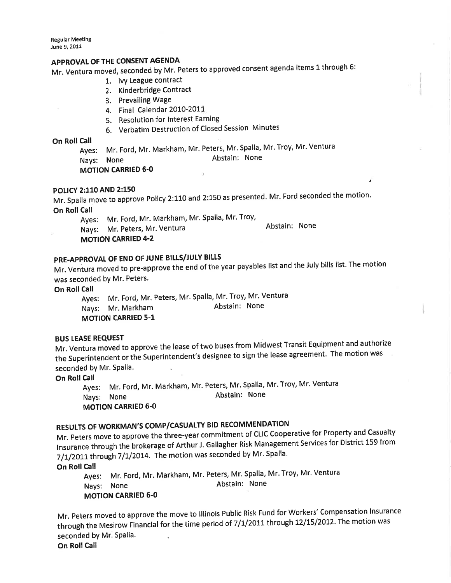**Regular Meeting** June 9, 2011

## APPROVAL OF THE CONSENT AGENDA

Mr. Ventura moved, seconded by Mr. Peters to approved consent agenda items 1 through 6:

- 1. lvY League contract
	- 2. Kinderbridge Contract
	- 3. Prevailing Wage
	- 4. Final Calendar 2010-201
	- 5. Resolution for Interest Earning
	- 6. Verbatim Destruction of Closed Session Minutes

## On Roll Call

Ayes: Mr. Ford, Mr. Markham, Mr. Peters, Mr. Spalla, Mr. Troy, Mr. Ventura NaYs: None Abstain: None

## MOTION CARRIED 6.0

# POLICY 2:110 AND 2:150 '

Mr. Spalla move to approve Policy 2:110 and 2:150 as presented. Mr. Ford seconded the motion. On Roll Call

Ayes: Mr. Ford, Mr. Markham, Mr. Spalla, Mr. Troy,

Abstain: None

NaYs: Mr. Peters, Mr. Ventura **MOTION CARRIED 4-2** 

## PRE-APPROVAL OF END OF JUNE BILLS/JULY BILLS

Mr. Ventura moved to pre-approve the end of the year payables list and the July bills list. The motion was seconded bY Mr. Peters.

On Roll Call

Ayes: Mr. Ford, Mr. Peters, Mr. Spalla, Mr. Troy, Mr. Ventura<br>Navs: Mr. Markham Mang Abstain: None Nays: Mr. Markham **MOTION CARRIED 5-1** 

## BUS LEASE REQUEST

Mr. Ventura moved to approve the lease of two buses from Midwest Transit Equipment and authorize the Superintendent or the Superintendent's designee to sign the lease agreement. The motion was seconded by Mr. Spalla.

## On Roll Call

Nays: None MOTION CARRIED 6.0 Abstain: None Ayes: Mr. Ford, Mr. Markham, Mr. Peters, Mr. Spalla, Mr. Troy, Mr. Ventura

# RESULTS OF WORKMAN'S COMP/CASUALTY BID RECOMMENDATION

Mr. peters move to approve the three-year commitment of CLIC Cooperative for Property and Casualty lnsurance through the brokerage of Arthur J. Gallagher Risk Management services for District 159 from  $7/1/2011$  through  $7/1/2014$ . The motion was seconded by Mr. Spalla.

## On Roll Call

**Ayes:** Mr. Ford, Mr. Markham, Mr. Peters, Mr. Spalla, Mr. Troy, Mr. Ventura Nays: None Abstain: None MOTION CARRIED 6.0

Mr. peters moved to approve the move to lllinois Public Risk Fund for Workers' Compensation lnsurance through the Mesirow Financial for the time period of 7/1/2011 through 12/15/2012. The motion was seconded by Mr. Spalla.

On Roll Call